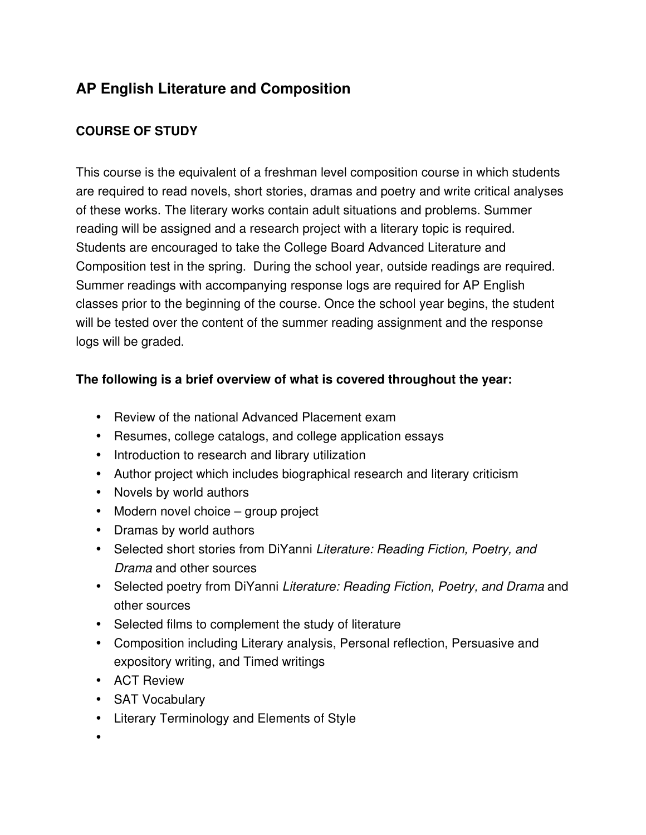# **AP English Literature and Composition**

## **COURSE OF STUDY**

This course is the equivalent of a freshman level composition course in which students are required to read novels, short stories, dramas and poetry and write critical analyses of these works. The literary works contain adult situations and problems. Summer reading will be assigned and a research project with a literary topic is required. Students are encouraged to take the College Board Advanced Literature and Composition test in the spring. During the school year, outside readings are required. Summer readings with accompanying response logs are required for AP English classes prior to the beginning of the course. Once the school year begins, the student will be tested over the content of the summer reading assignment and the response logs will be graded.

## **The following is a brief overview of what is covered throughout the year:**

- Review of the national Advanced Placement exam
- Resumes, college catalogs, and college application essays
- Introduction to research and library utilization
- Author project which includes biographical research and literary criticism
- Novels by world authors
- Modern novel choice group project
- Dramas by world authors
- Selected short stories from DiYanni *Literature: Reading Fiction, Poetry, and Drama* and other sources
- Selected poetry from DiYanni *Literature: Reading Fiction, Poetry, and Drama* and other sources
- Selected films to complement the study of literature
- Composition including Literary analysis, Personal reflection, Persuasive and expository writing, and Timed writings
- ACT Review
- SAT Vocabulary
- Literary Terminology and Elements of Style

•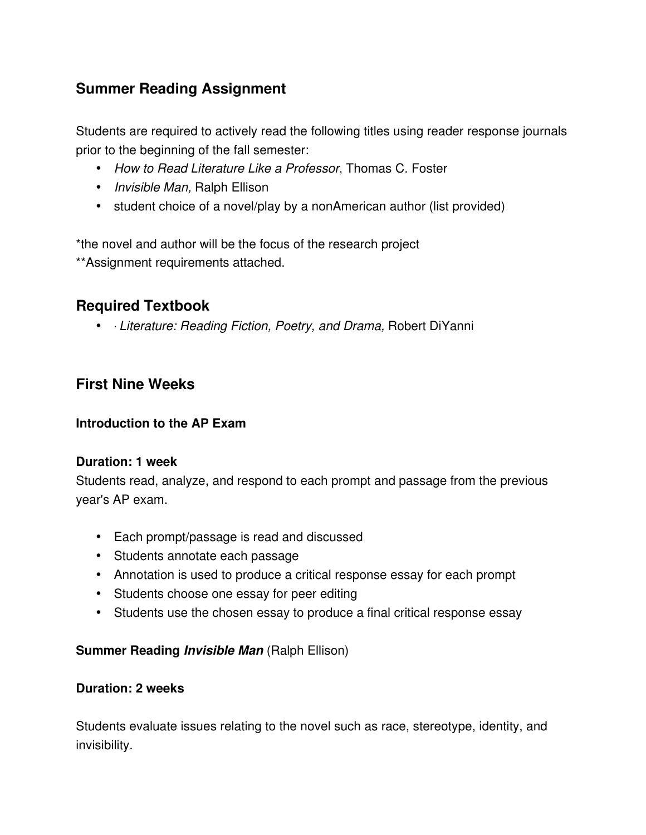## **Summer Reading Assignment**

Students are required to actively read the following titles using reader response journals prior to the beginning of the fall semester:

- *How to Read Literature Like a Professor*, Thomas C. Foster
- *Invisible Man,* Ralph Ellison
- student choice of a novel/play by a nonAmerican author (list provided)

\*the novel and author will be the focus of the research project \*\*Assignment requirements attached.

# **Required Textbook**

• ∙ *Literature: Reading Fiction, Poetry, and Drama,* Robert DiYanni

## **First Nine Weeks**

## **Introduction to the AP Exam**

#### **Duration: 1 week**

Students read, analyze, and respond to each prompt and passage from the previous year's AP exam.

- Each prompt/passage is read and discussed
- Students annotate each passage
- Annotation is used to produce a critical response essay for each prompt
- Students choose one essay for peer editing
- Students use the chosen essay to produce a final critical response essay

#### **Summer Reading** *Invisible Man* (Ralph Ellison)

#### **Duration: 2 weeks**

Students evaluate issues relating to the novel such as race, stereotype, identity, and invisibility.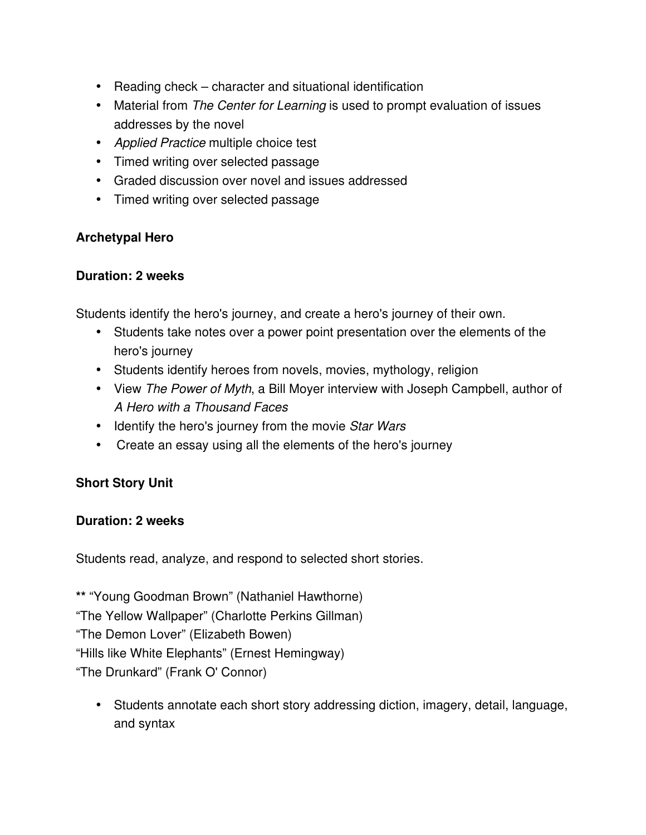- Reading check character and situational identification
- Material from *The Center for Learning* is used to prompt evaluation of issues addresses by the novel
- *Applied Practice* multiple choice test
- Timed writing over selected passage
- Graded discussion over novel and issues addressed
- Timed writing over selected passage

## **Archetypal Hero**

## **Duration: 2 weeks**

Students identify the hero's journey, and create a hero's journey of their own.

- Students take notes over a power point presentation over the elements of the hero's journey
- Students identify heroes from novels, movies, mythology, religion
- View *The Power of Myth*, a Bill Moyer interview with Joseph Campbell, author of *A Hero with a Thousand Faces*
- Identify the hero's journey from the movie *Star Wars*
- Create an essay using all the elements of the hero's journey

## **Short Story Unit**

## **Duration: 2 weeks**

Students read, analyze, and respond to selected short stories.

**\*\*** "Young Goodman Brown" (Nathaniel Hawthorne) "The Yellow Wallpaper" (Charlotte Perkins Gillman) "The Demon Lover" (Elizabeth Bowen) "Hills like White Elephants" (Ernest Hemingway) "The Drunkard" (Frank O' Connor)

• Students annotate each short story addressing diction, imagery, detail, language, and syntax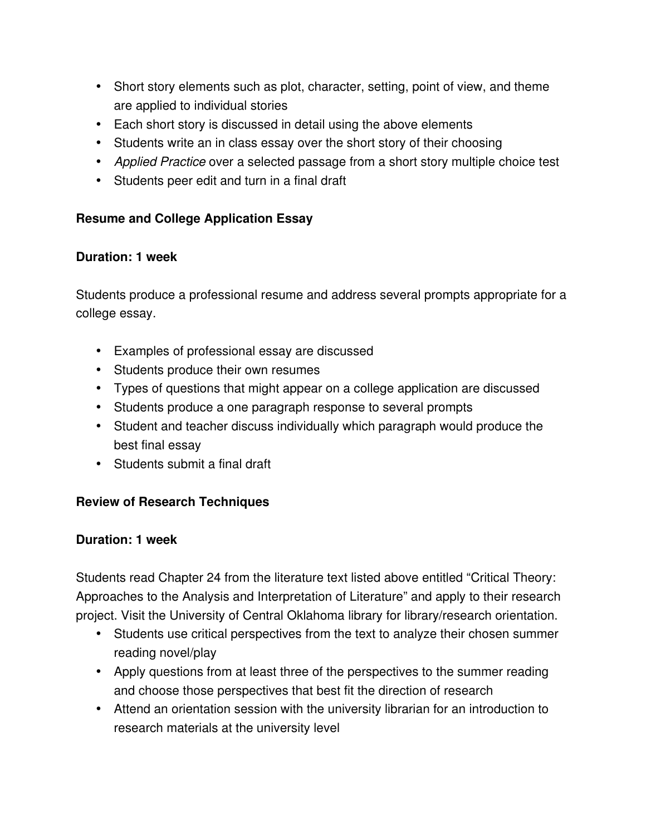- Short story elements such as plot, character, setting, point of view, and theme are applied to individual stories
- Each short story is discussed in detail using the above elements
- Students write an in class essay over the short story of their choosing
- *Applied Practice* over a selected passage from a short story multiple choice test
- Students peer edit and turn in a final draft

## **Resume and College Application Essay**

## **Duration: 1 week**

Students produce a professional resume and address several prompts appropriate for a college essay.

- Examples of professional essay are discussed
- Students produce their own resumes
- Types of questions that might appear on a college application are discussed
- Students produce a one paragraph response to several prompts
- Student and teacher discuss individually which paragraph would produce the best final essay
- Students submit a final draft

## **Review of Research Techniques**

## **Duration: 1 week**

Students read Chapter 24 from the literature text listed above entitled "Critical Theory: Approaches to the Analysis and Interpretation of Literature" and apply to their research project. Visit the University of Central Oklahoma library for library/research orientation.

- Students use critical perspectives from the text to analyze their chosen summer reading novel/play
- Apply questions from at least three of the perspectives to the summer reading and choose those perspectives that best fit the direction of research
- Attend an orientation session with the university librarian for an introduction to research materials at the university level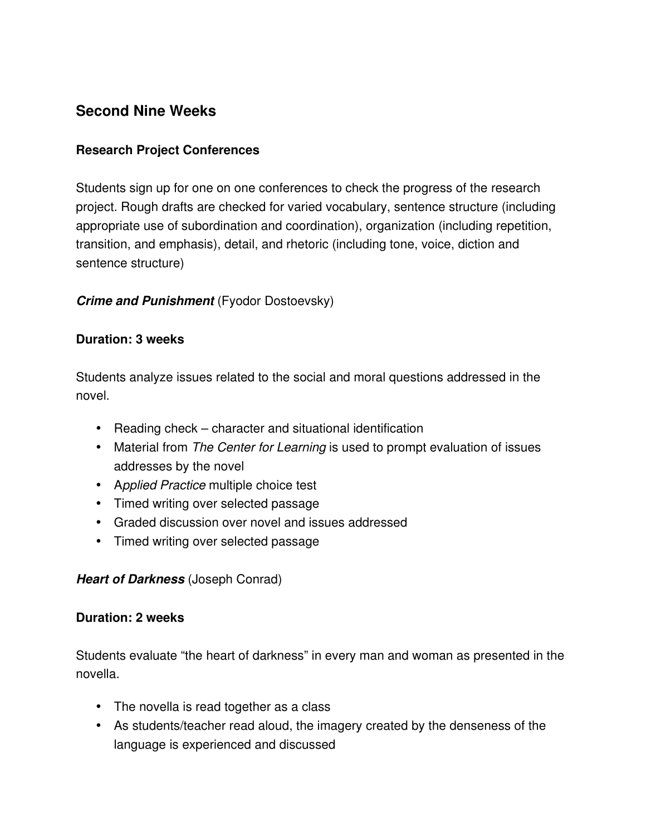## **Second Nine Weeks**

#### **Research Project Conferences**

Students sign up for one on one conferences to check the progress of the research project. Rough drafts are checked for varied vocabulary, sentence structure (including appropriate use of subordination and coordination), organization (including repetition, transition, and emphasis), detail, and rhetoric (including tone, voice, diction and sentence structure)

#### *Crime and Punishment* (Fyodor Dostoevsky)

#### **Duration: 3 weeks**

Students analyze issues related to the social and moral questions addressed in the novel.

- Reading check character and situational identification
- Material from *The Center for Learning* is used to prompt evaluation of issues addresses by the novel
- A*pplied Practice* multiple choice test
- Timed writing over selected passage
- Graded discussion over novel and issues addressed
- Timed writing over selected passage

## *Heart of Darkness* (Joseph Conrad)

#### **Duration: 2 weeks**

Students evaluate "the heart of darkness" in every man and woman as presented in the novella.

- The novella is read together as a class
- As students/teacher read aloud, the imagery created by the denseness of the language is experienced and discussed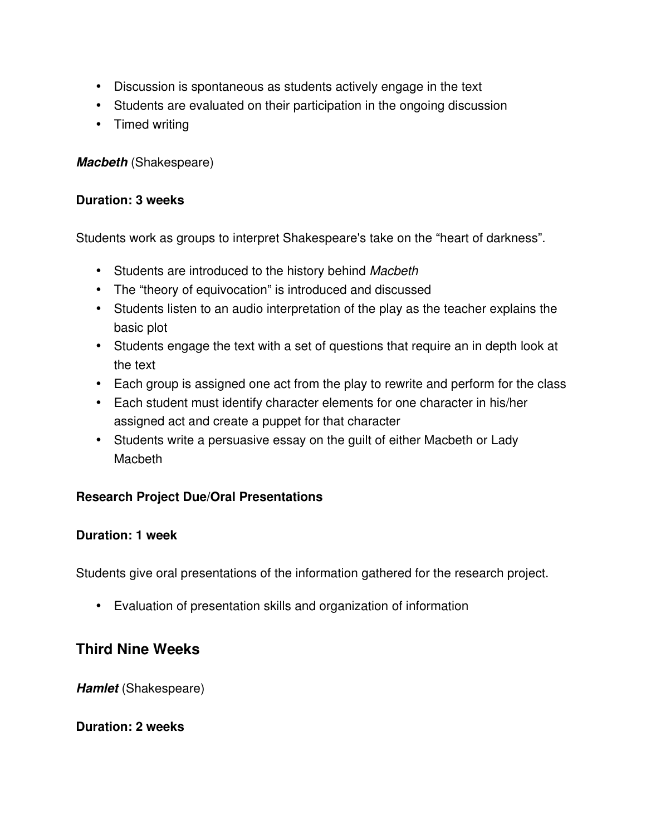- Discussion is spontaneous as students actively engage in the text
- Students are evaluated on their participation in the ongoing discussion
- Timed writing

*Macbeth* (Shakespeare)

#### **Duration: 3 weeks**

Students work as groups to interpret Shakespeare's take on the "heart of darkness".

- Students are introduced to the history behind *Macbeth*
- The "theory of equivocation" is introduced and discussed
- Students listen to an audio interpretation of the play as the teacher explains the basic plot
- Students engage the text with a set of questions that require an in depth look at the text
- Each group is assigned one act from the play to rewrite and perform for the class
- Each student must identify character elements for one character in his/her assigned act and create a puppet for that character
- Students write a persuasive essay on the guilt of either Macbeth or Lady **Macbeth**

#### **Research Project Due/Oral Presentations**

#### **Duration: 1 week**

Students give oral presentations of the information gathered for the research project.

• Evaluation of presentation skills and organization of information

## **Third Nine Weeks**

**Hamlet** (Shakespeare)

#### **Duration: 2 weeks**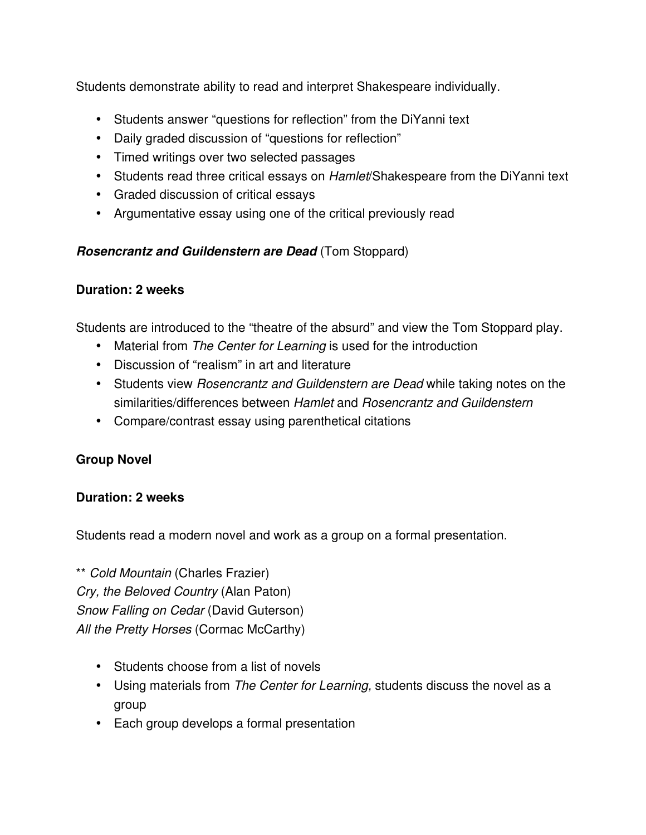Students demonstrate ability to read and interpret Shakespeare individually.

- Students answer "questions for reflection" from the DiYanni text
- Daily graded discussion of "questions for reflection"
- Timed writings over two selected passages
- Students read three critical essays on *Hamlet*/Shakespeare from the DiYanni text
- Graded discussion of critical essays
- Argumentative essay using one of the critical previously read

## *Rosencrantz and Guildenstern are Dead* (Tom Stoppard)

## **Duration: 2 weeks**

Students are introduced to the "theatre of the absurd" and view the Tom Stoppard play.

- Material from *The Center for Learning* is used for the introduction
- Discussion of "realism" in art and literature
- Students view *Rosencrantz and Guildenstern are Dead* while taking notes on the similarities/differences between *Hamlet* and *Rosencrantz and Guildenstern*
- Compare/contrast essay using parenthetical citations

## **Group Novel**

## **Duration: 2 weeks**

Students read a modern novel and work as a group on a formal presentation.

\*\* *Cold Mountain* (Charles Frazier) *Cry, the Beloved Country* (Alan Paton) *Snow Falling on Cedar* (David Guterson) *All the Pretty Horses* (Cormac McCarthy)

- Students choose from a list of novels
- Using materials from *The Center for Learning,* students discuss the novel as a group
- Each group develops a formal presentation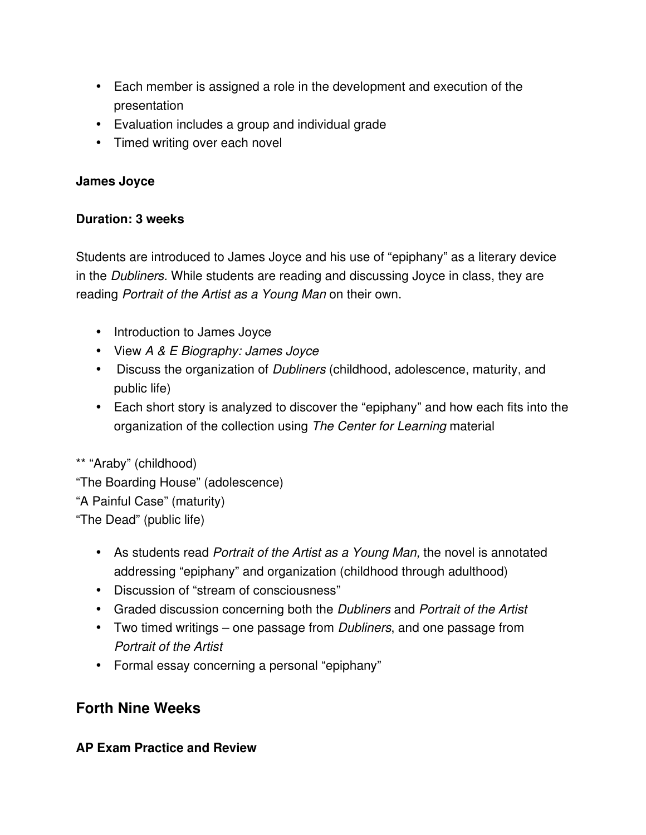- Each member is assigned a role in the development and execution of the presentation
- Evaluation includes a group and individual grade
- Timed writing over each novel

## **James Joyce**

## **Duration: 3 weeks**

Students are introduced to James Joyce and his use of "epiphany" as a literary device in the *Dubliners.* While students are reading and discussing Joyce in class, they are reading *Portrait of the Artist as a Young Man* on their own.

- Introduction to James Joyce
- View *A & E Biography: James Joyce*
- Discuss the organization of *Dubliners* (childhood, adolescence, maturity, and public life)
- Each short story is analyzed to discover the "epiphany" and how each fits into the organization of the collection using *The Center for Learning* material

\*\* "Araby" (childhood) "The Boarding House" (adolescence) "A Painful Case" (maturity) "The Dead" (public life)

- As students read *Portrait of the Artist as a Young Man,* the novel is annotated addressing "epiphany" and organization (childhood through adulthood)
- Discussion of "stream of consciousness"
- Graded discussion concerning both the *Dubliners* and *Portrait of the Artist*
- Two timed writings one passage from *Dubliners*, and one passage from *Portrait of the Artist*
- Formal essay concerning a personal "epiphany"

## **Forth Nine Weeks**

#### **AP Exam Practice and Review**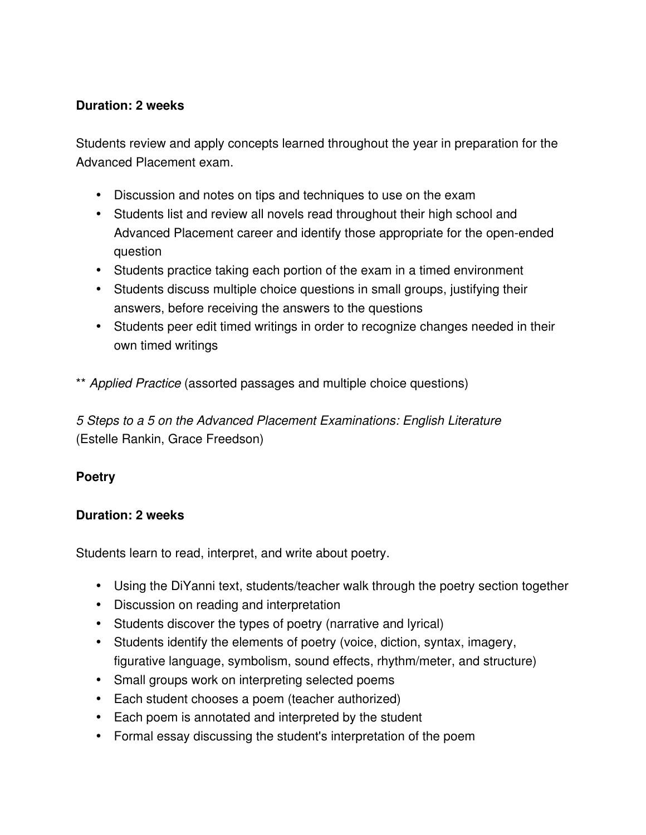## **Duration: 2 weeks**

Students review and apply concepts learned throughout the year in preparation for the Advanced Placement exam.

- Discussion and notes on tips and techniques to use on the exam
- Students list and review all novels read throughout their high school and Advanced Placement career and identify those appropriate for the open-ended question
- Students practice taking each portion of the exam in a timed environment
- Students discuss multiple choice questions in small groups, justifying their answers, before receiving the answers to the questions
- Students peer edit timed writings in order to recognize changes needed in their own timed writings

\*\* *Applied Practice* (assorted passages and multiple choice questions)

*5 Steps to a 5 on the Advanced Placement Examinations: English Literature* (Estelle Rankin, Grace Freedson)

#### **Poetry**

#### **Duration: 2 weeks**

Students learn to read, interpret, and write about poetry.

- Using the DiYanni text, students/teacher walk through the poetry section together
- Discussion on reading and interpretation
- Students discover the types of poetry (narrative and lyrical)
- Students identify the elements of poetry (voice, diction, syntax, imagery, figurative language, symbolism, sound effects, rhythm/meter, and structure)
- Small groups work on interpreting selected poems
- Each student chooses a poem (teacher authorized)
- Each poem is annotated and interpreted by the student
- Formal essay discussing the student's interpretation of the poem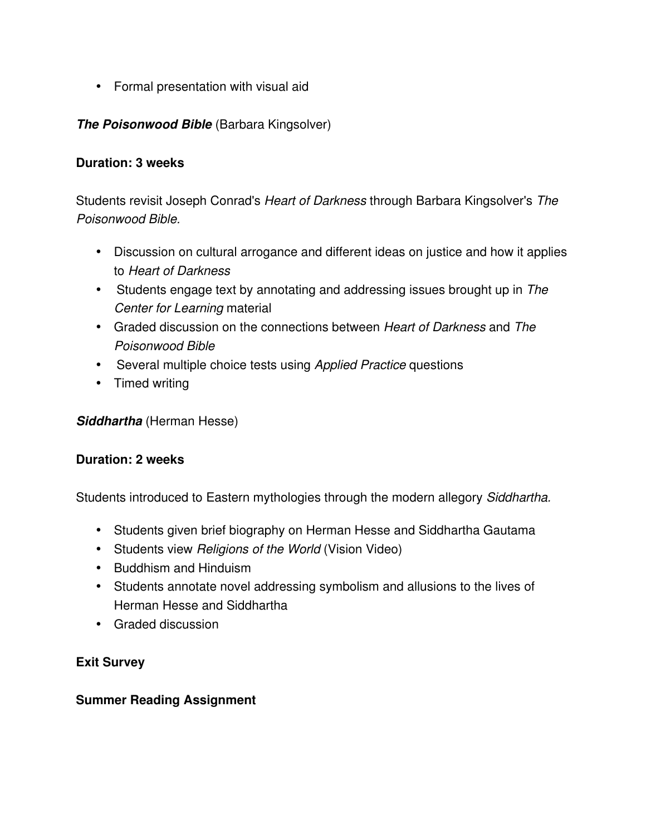• Formal presentation with visual aid

## *The Poisonwood Bible* (Barbara Kingsolver)

#### **Duration: 3 weeks**

Students revisit Joseph Conrad's *Heart of Darkness* through Barbara Kingsolver's *The Poisonwood Bible.*

- Discussion on cultural arrogance and different ideas on justice and how it applies to *Heart of Darkness*
- Students engage text by annotating and addressing issues brought up in *The Center for Learning* material
- Graded discussion on the connections between *Heart of Darkness* and *The Poisonwood Bible*
- Several multiple choice tests using *Applied Practice* questions
- Timed writing

*Siddhartha* (Herman Hesse)

#### **Duration: 2 weeks**

Students introduced to Eastern mythologies through the modern allegory *Siddhartha.*

- Students given brief biography on Herman Hesse and Siddhartha Gautama
- Students view *Religions of the World* (Vision Video)
- Buddhism and Hinduism
- Students annotate novel addressing symbolism and allusions to the lives of Herman Hesse and Siddhartha
- Graded discussion

#### **Exit Survey**

#### **Summer Reading Assignment**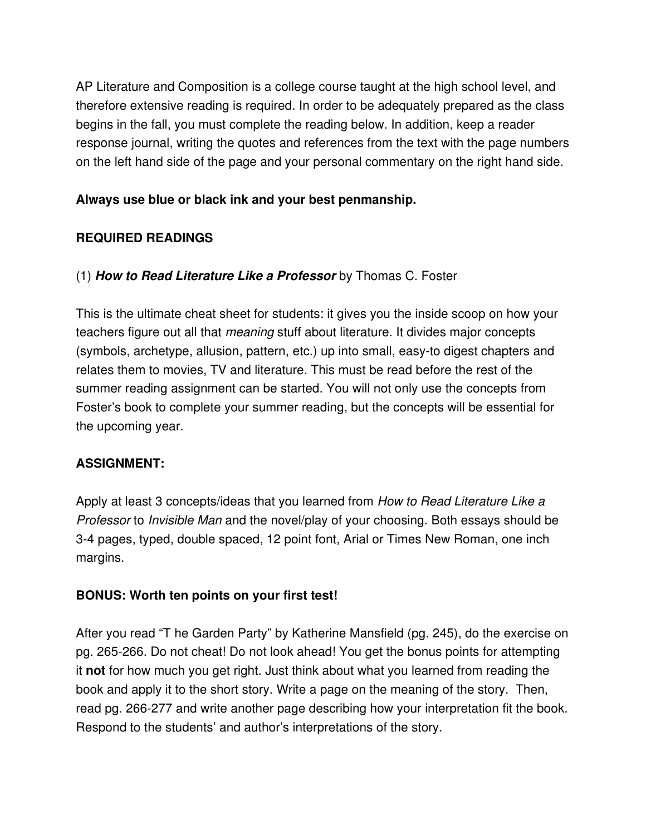AP Literature and Composition is a college course taught at the high school level, and therefore extensive reading is required. In order to be adequately prepared as the class begins in the fall, you must complete the reading below. In addition, keep a reader response journal, writing the quotes and references from the text with the page numbers on the left hand side of the page and your personal commentary on the right hand side.

## **Always use blue or black ink and your best penmanship.**

## **REQUIRED READINGS**

## (1) *How to Read Literature Like a Professor* by Thomas C. Foster

This is the ultimate cheat sheet for students: it gives you the inside scoop on how your teachers figure out all that *meaning* stuff about literature. It divides major concepts (symbols, archetype, allusion, pattern, etc.) up into small, easy-to digest chapters and relates them to movies, TV and literature. This must be read before the rest of the summer reading assignment can be started. You will not only use the concepts from Foster's book to complete your summer reading, but the concepts will be essential for the upcoming year.

## **ASSIGNMENT:**

Apply at least 3 concepts/ideas that you learned from *How to Read Literature Like a Professor* to *Invisible Man* and the novel/play of your choosing. Both essays should be 34 pages, typed, double spaced, 12 point font, Arial or Times New Roman, one inch margins.

#### **BONUS: Worth ten points on your first test!**

After you read "T he Garden Party" by Katherine Mansfield (pg. 245), do the exercise on pg. 265-266. Do not cheat! Do not look ahead! You get the bonus points for attempting it **not** for how much you get right. Just think about what you learned from reading the book and apply it to the short story. Write a page on the meaning of the story. Then, read pg. 266-277 and write another page describing how your interpretation fit the book. Respond to the students' and author's interpretations of the story.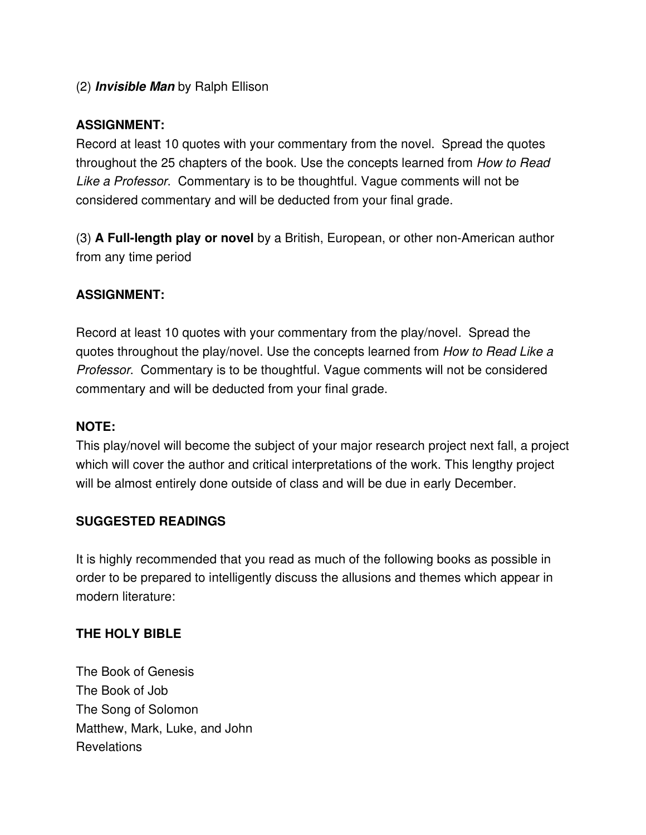## (2) *Invisible Man* by Ralph Ellison

## **ASSIGNMENT:**

Record at least 10 quotes with your commentary from the novel. Spread the quotes throughout the 25 chapters of the book. Use the concepts learned from *How to Read Like a Professor*. Commentary is to be thoughtful. Vague comments will not be considered commentary and will be deducted from your final grade.

(3) **A Fulllength play or novel** by a British, European, or other nonAmerican author from any time period

## **ASSIGNMENT:**

Record at least 10 quotes with your commentary from the play/novel. Spread the quotes throughout the play/novel. Use the concepts learned from *How to Read Like a Professor*. Commentary is to be thoughtful. Vague comments will not be considered commentary and will be deducted from your final grade.

#### **NOTE:**

This play/novel will become the subject of your major research project next fall, a project which will cover the author and critical interpretations of the work. This lengthy project will be almost entirely done outside of class and will be due in early December.

#### **SUGGESTED READINGS**

It is highly recommended that you read as much of the following books as possible in order to be prepared to intelligently discuss the allusions and themes which appear in modern literature:

#### **THE HOLY BIBLE**

The Book of Genesis The Book of Job The Song of Solomon Matthew, Mark, Luke, and John Revelations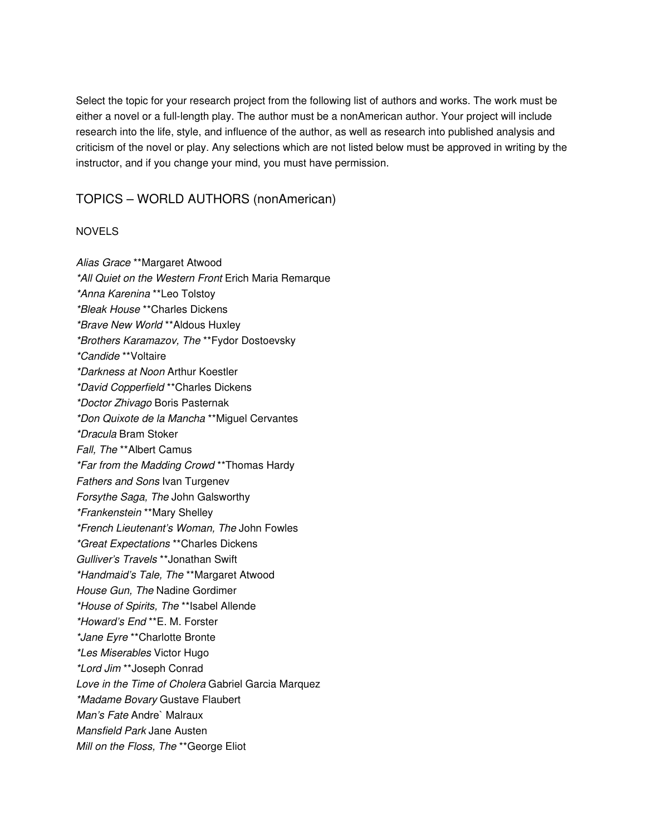Select the topic for your research project from the following list of authors and works. The work must be either a novel or a full-length play. The author must be a nonAmerican author. Your project will include research into the life, style, and influence of the author, as well as research into published analysis and criticism of the novel or play. Any selections which are not listed below must be approved in writing by the instructor, and if you change your mind, you must have permission.

#### TOPICS – WORLD AUTHORS (nonAmerican)

#### NOVELS

*Alias Grace* \*\*Margaret Atwood *\*All Quiet on the Western Front* Erich Maria Remarque *\*Anna Karenina* \*\*Leo Tolstoy *\*Bleak House* \*\*Charles Dickens *\*Brave New World* \*\*Aldous Huxley *\*Brothers Karamazov, The* \*\*Fydor Dostoevsky *\*Candide* \*\*Voltaire *\*Darkness at Noon* Arthur Koestler *\*David Copperfield* \*\*Charles Dickens *\*Doctor Zhivago* Boris Pasternak *\*Don Quixote de la Mancha* \*\*Miguel Cervantes *\*Dracula* Bram Stoker *Fall, The* \*\*Albert Camus *\*Far from the Madding Crowd* \*\*Thomas Hardy *Fathers and Sons Ivan Turgenev Forsythe Saga, The* John Galsworthy *\*Frankenstein* \*\*Mary Shelley *\*French Lieutenant's Woman, The* John Fowles *\*Great Expectations* \*\*Charles Dickens *Gulliver's Travels* \*\*Jonathan Swift *\*Handmaid's Tale, The* \*\*Margaret Atwood *House Gun, The* Nadine Gordimer *\*House of Spirits, The* \*\*Isabel Allende *\*Howard's End* \*\*E. M. Forster *\*Jane Eyre* \*\*Charlotte Bronte *\*Les Miserables* Victor Hugo *\*Lord Jim* \*\*Joseph Conrad *Love in the Time of Cholera* Gabriel Garcia Marquez *\*Madame Bovary* Gustave Flaubert *Man's Fate* Andre` Malraux *Mansfield Park* Jane Austen *Mill on the Floss, The* \*\*George Eliot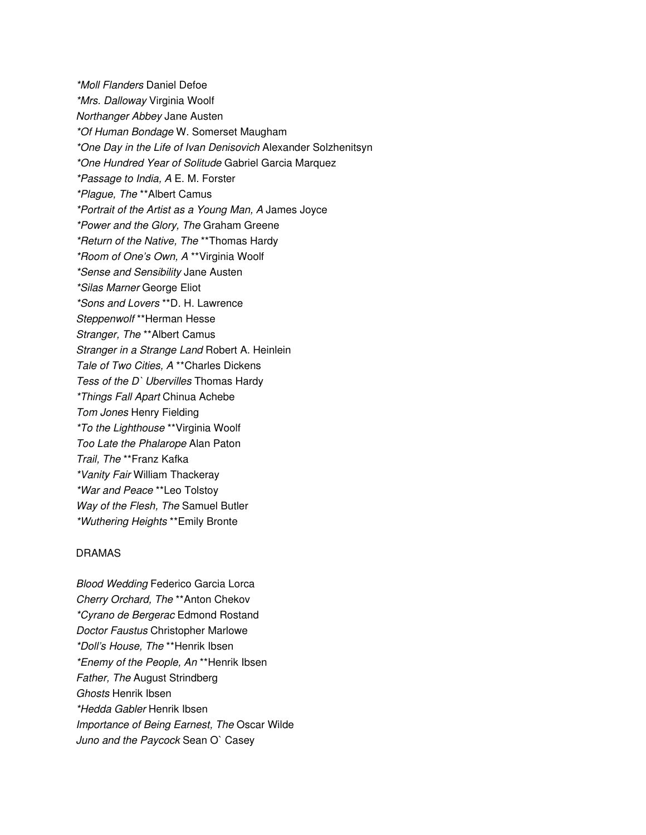*\*Moll Flanders* Daniel Defoe *\*Mrs. Dalloway* Virginia Woolf *Northanger Abbey* Jane Austen *\*Of Human Bondage* W. Somerset Maugham *\*One Day in the Life of Ivan Denisovich* Alexander Solzhenitsyn *\*One Hundred Year of Solitude* Gabriel Garcia Marquez *\*Passage to India, A* E. M. Forster *\*Plague, The* \*\*Albert Camus *\*Portrait of the Artist as a Young Man, A* James Joyce *\*Power and the Glory, The* Graham Greene *\*Return of the Native, The* \*\*Thomas Hardy *\*Room of One's Own, A* \*\*Virginia Woolf *\*Sense and Sensibility* Jane Austen *\*Silas Marner* George Eliot *\*Sons and Lovers* \*\*D. H. Lawrence *Steppenwolf* \*\*Herman Hesse *Stranger, The* \*\*Albert Camus *Stranger in a Strange Land* Robert A. Heinlein *Tale of Two Cities, A* \*\*Charles Dickens *Tess of the D` Ubervilles* Thomas Hardy *\*Things Fall Apart* Chinua Achebe *Tom Jones* Henry Fielding *\*To the Lighthouse* \*\*Virginia Woolf *Too Late the Phalarope* Alan Paton *Trail, The* \*\*Franz Kafka *\*Vanity Fair* William Thackeray *\*War and Peace* \*\*Leo Tolstoy *Way of the Flesh, The* Samuel Butler *\*Wuthering Heights* \*\*Emily Bronte

#### DRAMAS

*Blood Wedding* Federico Garcia Lorca *Cherry Orchard, The* \*\*Anton Chekov *\*Cyrano de Bergerac* Edmond Rostand *Doctor Faustus* Christopher Marlowe *\*Doll's House, The* \*\*Henrik Ibsen *\*Enemy of the People, An* \*\*Henrik Ibsen *Father, The* August Strindberg *Ghosts* Henrik Ibsen *\*Hedda Gabler* Henrik Ibsen *Importance of Being Earnest, The* Oscar Wilde *Juno and the Paycock* Sean O` Casey